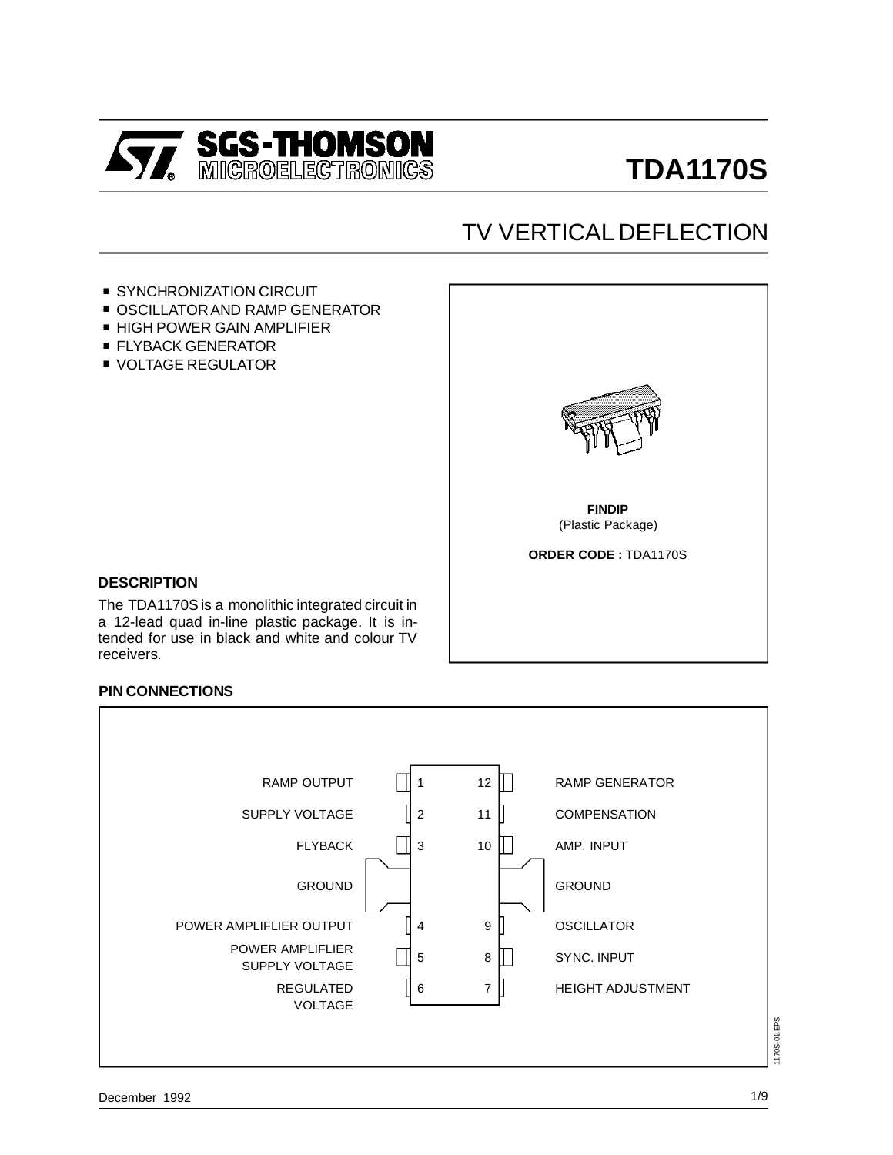

# TV VERTICAL DEFLECTION

- **SYNCHRONIZATION CIRCUIT**
- SYNCHRONIZATION CIRCUIT<br>■ OSCILLATOR AND RAMP GENERATOR
- SYNCHRONIZATION CIRCUIT<br>■ OSCILLATOR AND RAMP GENE<br>■ HIGH POWER GAIN AMPLIFIER ■ HIGH POWER GAIN AMPLIFIER<br>■ FLYBACK GENERATOR
- 
- **UNDEREGULATOR**



#### **DESCRIPTION**

The TDA1170S is a monolithic integrated circuit in a 12-lead quad in-line plastic package. It is intended for use in black and white and colour TV receivers.

#### **PIN CONNECTIONS**

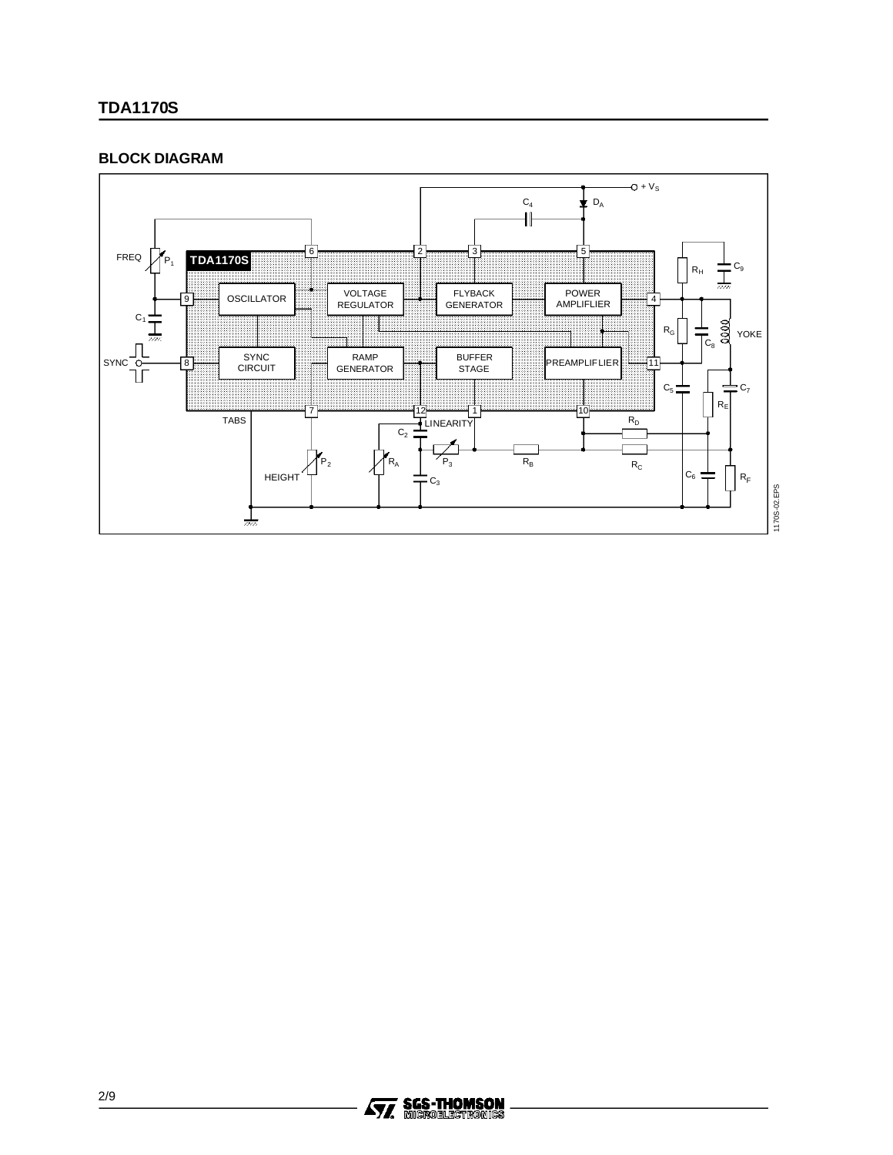#### **BLOCK DIAGRAM**



1170S-02.EPS

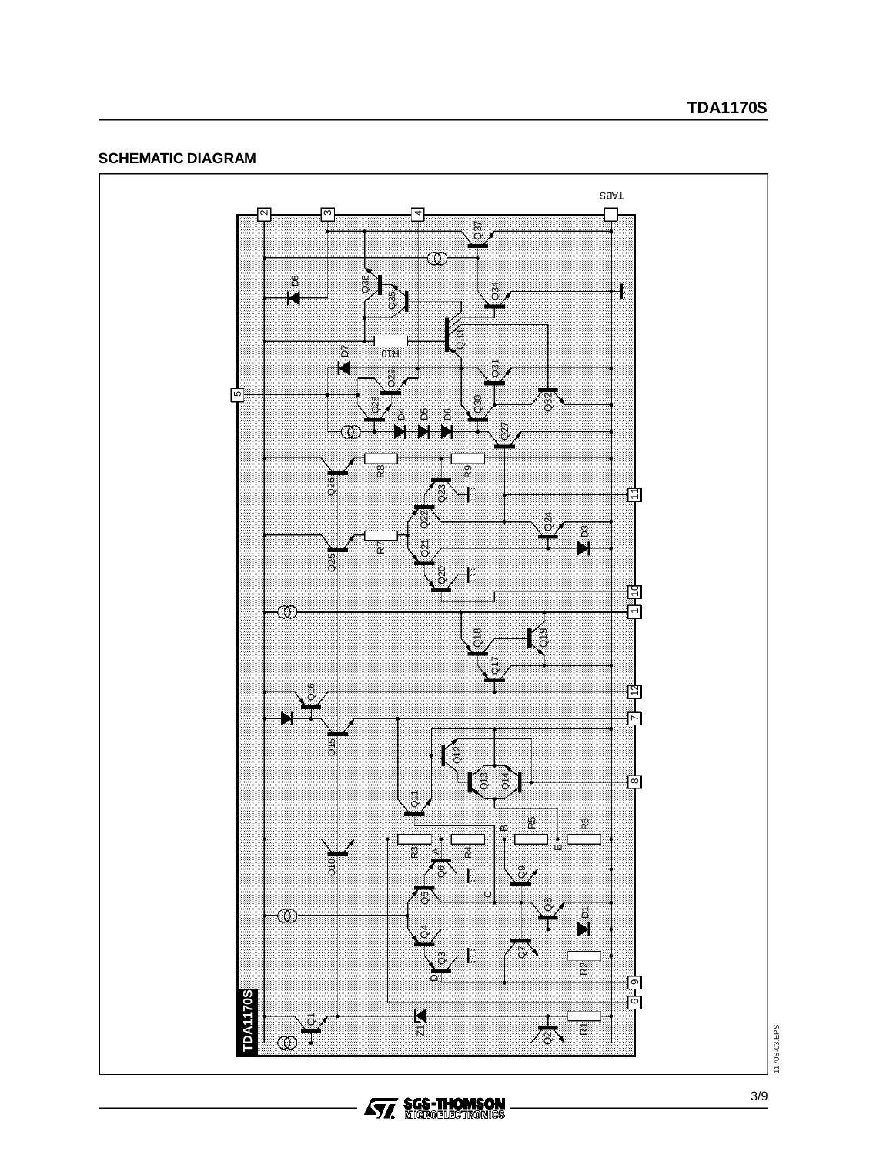#### **SCHEMATIC DIAGRAM**



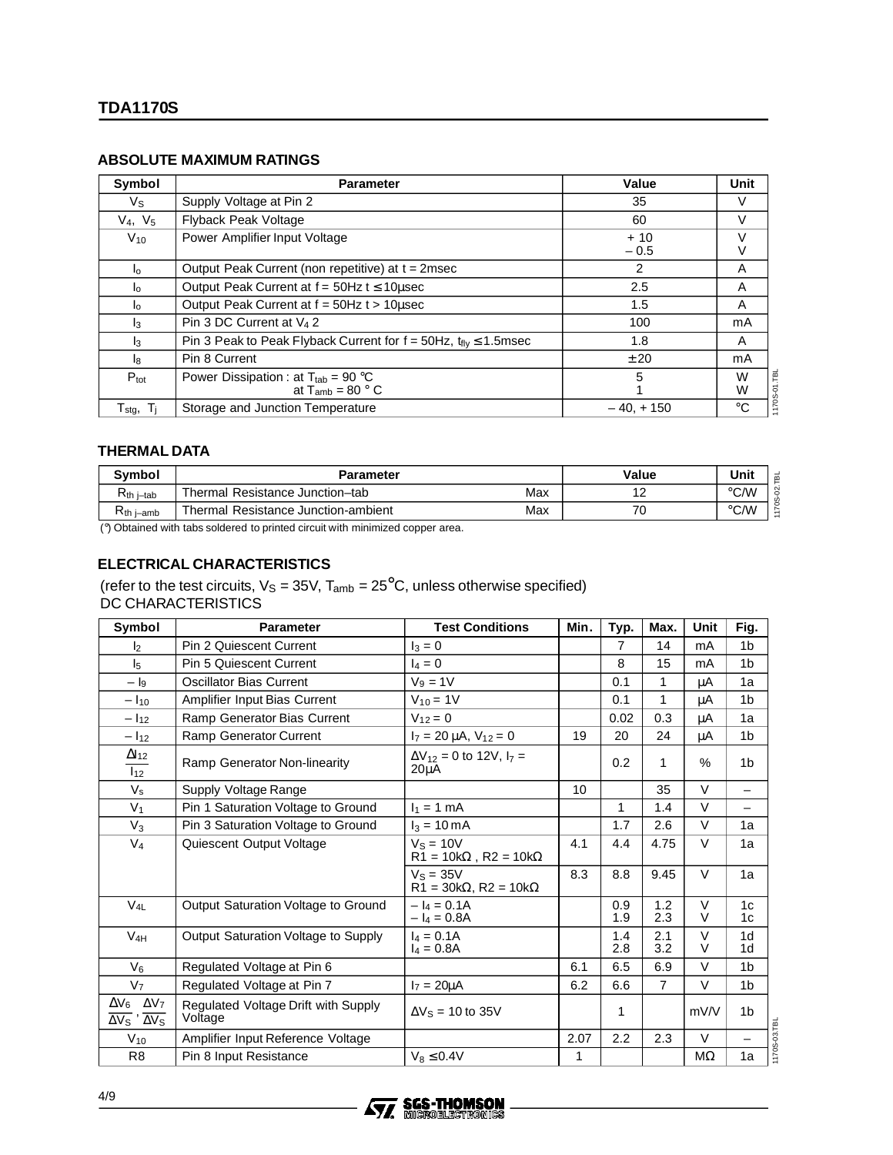#### **ABSOLUTE MAXIMUM RATINGS**

| Symbol                         | <b>Parameter</b>                                                                                        | Value           | Unit         |
|--------------------------------|---------------------------------------------------------------------------------------------------------|-----------------|--------------|
| Vs                             | Supply Voltage at Pin 2                                                                                 | 35              | V            |
| $V_4, V_5$                     | <b>Flyback Peak Voltage</b>                                                                             | 60              | V            |
| $V_{10}$                       | Power Amplifier Input Voltage                                                                           | $+10$<br>$-0.5$ |              |
| $\mathsf{I}_0$                 | Output Peak Current (non repetitive) at t = 2msec                                                       | 2               | A            |
| $\mathsf{I}_{\Omega}$          | Output Peak Current at $f = 50$ Hz $t \le 10$ usec                                                      | 2.5             | A            |
| $\mathsf{I}_\mathsf{O}$        | Output Peak Current at f = 50Hz t > 10usec                                                              | 1.5             | A            |
| $\mathsf{I}_3$                 | Pin 3 DC Current at $V_4$ 2                                                                             | 100             | mA           |
| $\mathsf{I}_3$                 | Pin 3 Peak to Peak Flyback Current for $f = 50$ Hz, $t_{fiv} \le 1.5$ msec                              | 1.8             | A            |
| Iя                             | Pin 8 Current                                                                                           | ± 20            | mA           |
| $P_{\text{tot}}$               | Power Dissipation : at $T_{\text{tab}} = 90 \text{ }^{\circ}\text{C}$<br>at $T_{amb}$ = 80 $^{\circ}$ C | 5               | W<br>W       |
| $T_{\text{stg}}, T_{\text{i}}$ | Storage and Junction Temperature                                                                        | $-40, +150$     | $^{\circ}$ C |

#### **THERMAL DATA**

| Symbol         | <b>Parameter</b>                    | Value | Unit |      |
|----------------|-------------------------------------|-------|------|------|
| $R_{th}$ i–tab | Thermal Resistance Junction-tab     | Max   |      | °C/W |
| D<br>Kth i–amb | Thermal Resistance Junction-ambient | Max   | U    | °C/W |

(°) Obtained with tabs soldered to printed circuit with minimized copper area.

#### **ELECTRICAL CHARACTERISTICS**

(refer to the test circuits,  $V_S = 35V$ ,  $T_{amb} = 25^{\circ}C$ , unless otherwise specified) DC CHARACTERISTICS

| Symbol                                                                         | <b>Parameter</b>                               | <b>Test Conditions</b><br>Min.                     |      | Typ.           | Max.           | Unit             | Fig.                             |
|--------------------------------------------------------------------------------|------------------------------------------------|----------------------------------------------------|------|----------------|----------------|------------------|----------------------------------|
| $\mathsf{I}_2$                                                                 | <b>Pin 2 Quiescent Current</b>                 | $I_3 = 0$                                          |      | $\overline{7}$ | 14             | mA               | 1 <sub>b</sub>                   |
| I <sub>5</sub>                                                                 | <b>Pin 5 Quiescent Current</b><br>$I_4 = 0$    |                                                    |      | 8              | 15             | mA               | 1 <sub>b</sub>                   |
| $ \mathsf{I}_{9}$                                                              | Oscillator Bias Current                        | $V_9 = 1V$                                         |      | 0.1            | 1              | μA               | 1a                               |
| $- I_{10}$                                                                     | Amplifier Input Bias Current                   | $V_{10} = 1V$                                      |      | 0.1            | 1              | μA               | 1 <sub>b</sub>                   |
| $-1_{12}$                                                                      | Ramp Generator Bias Current                    | $V_{12} = 0$                                       |      | 0.02           | 0.3            | μA               | 1a                               |
| $-1_{12}$                                                                      | Ramp Generator Current                         | $I_7 = 20 \mu A$ , $V_{12} = 0$                    | 19   | 20             | 24             | μA               | 1 <sub>b</sub>                   |
| $\Delta$ 12<br>$I_{12}$                                                        | Ramp Generator Non-linearity                   | $\Delta V_{12} = 0$ to 12V, $I_7 =$<br>$20\mu A$   |      | 0.2            | 1              | $\%$             | 1 <sub>b</sub>                   |
| $V_{\text{s}}$                                                                 | Supply Voltage Range                           |                                                    | 10   |                | 35             | $\vee$           | $\overline{\phantom{0}}$         |
| V <sub>1</sub>                                                                 | Pin 1 Saturation Voltage to Ground             | $I_1 = 1$ mA                                       |      | 1              | 1.4            | $\vee$           | $\equiv$                         |
| $V_3$                                                                          | Pin 3 Saturation Voltage to Ground             | $I_3 = 10 \text{ mA}$                              |      | 1.7            | 2.6            | $\vee$           | 1a                               |
| V <sub>4</sub>                                                                 | Quiescent Output Voltage                       | $VS = 10V$<br>$R1 = 10k\Omega$ , $R2 = 10k\Omega$  | 4.1  | 4.4            | 4.75           | $\vee$           | 1a                               |
|                                                                                |                                                | $V_s = 35V$<br>$R1 = 30k\Omega$ , $R2 = 10k\Omega$ | 8.3  | 8.8            | 9.45           | $\vee$           | 1a                               |
| $V_{4L}$                                                                       | Output Saturation Voltage to Ground            | $- I_4 = 0.1A$<br>$- I_4 = 0.8A$                   |      | 0.9<br>1.9     | 1.2<br>2.3     | $\vee$<br>V      | 1 <sub>c</sub><br>1c             |
| $V_{4H}$                                                                       | Output Saturation Voltage to Supply            | $I_4 = 0.1A$<br>$I_4 = 0.8A$                       |      | 1.4<br>2.8     | 2.1<br>3.2     | $\vee$<br>$\vee$ | 1 <sub>d</sub><br>1 <sub>d</sub> |
| $V_6$                                                                          | Regulated Voltage at Pin 6                     |                                                    | 6.1  | 6.5            | 6.9            | $\vee$           | 1 <sub>b</sub>                   |
| V <sub>7</sub>                                                                 | Regulated Voltage at Pin 7                     | $I_7 = 20 \mu A$                                   | 6.2  | 6.6            | $\overline{7}$ | $\vee$           | 1 <sub>b</sub>                   |
| $\Delta V_6$ $\Delta V_7$<br>$\overline{\Delta V_S}$ ' $\overline{\Delta V_S}$ | Regulated Voltage Drift with Supply<br>Voltage | $\Delta V$ s = 10 to 35V                           |      | 1              |                | mV/V             | 1 <sub>b</sub>                   |
| $V_{10}$                                                                       | Amplifier Input Reference Voltage              |                                                    | 2.07 | 2.2            | 2.3            | $\vee$           | $\equiv$                         |
| R <sub>8</sub>                                                                 | Pin 8 Input Resistance                         | $V_8 \leq 0.4V$                                    | 1    |                |                | $M\Omega$        | 1a                               |

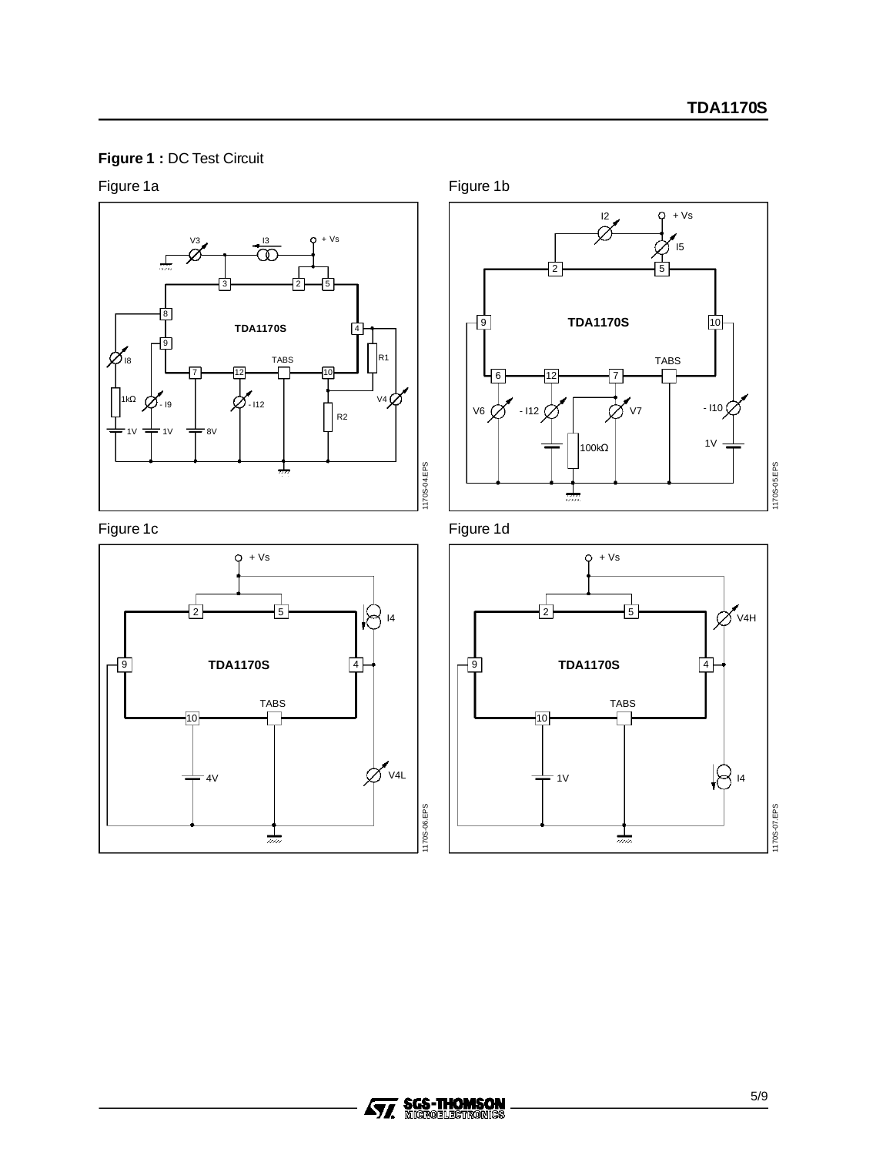### **Figure 1 :** DC Test Circuit



Figure 1a









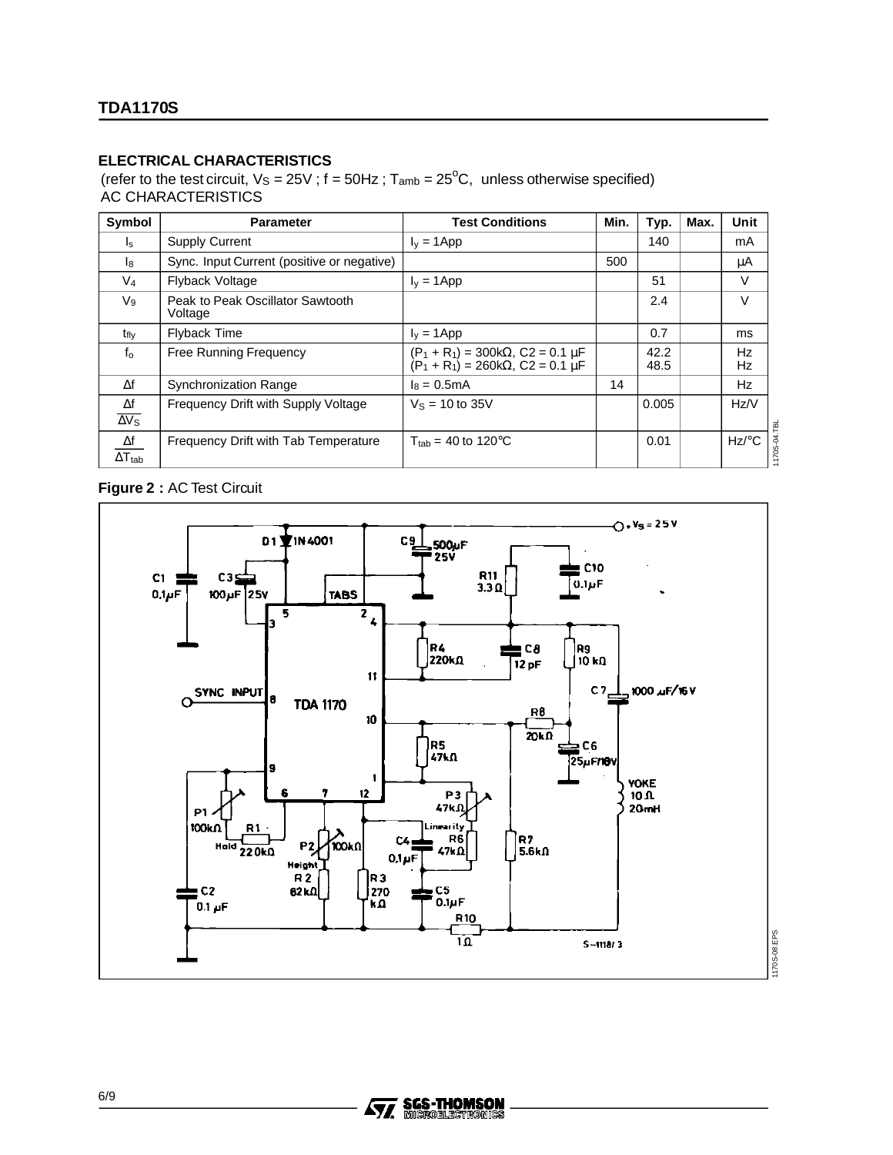#### **ELECTRICAL CHARACTERISTICS**

(refer to the test circuit,  $V_S = 25V$ ; f = 50Hz;  $T_{amb} = 25^{\circ}C$ , unless otherwise specified) AC CHARACTERISTICS

| Symbol                                  | <b>Parameter</b>                            | <b>Test Conditions</b>                                                               | Min. | Typ.         | Max. | Unit                |              |
|-----------------------------------------|---------------------------------------------|--------------------------------------------------------------------------------------|------|--------------|------|---------------------|--------------|
| $I_{\rm S}$                             | <b>Supply Current</b>                       | $I_v = 1$ App                                                                        |      | 140          |      | mA                  |              |
| l8                                      | Sync. Input Current (positive or negative)  |                                                                                      | 500  |              |      | μA                  |              |
| V4                                      | <b>Flyback Voltage</b>                      | $I_v = 1$ App                                                                        |      | 51           |      | $\vee$              |              |
| $V_9$                                   | Peak to Peak Oscillator Sawtooth<br>Voltage |                                                                                      |      | 2.4          |      | $\vee$              |              |
| $t_{\text{fly}}$                        | <b>Flyback Time</b>                         | $I_v = 1$ App                                                                        |      | 0.7          |      | ms                  |              |
| $f_0$                                   | Free Running Frequency                      | $(P_1 + R_1) = 300k\Omega$ , C2 = 0.1 µF<br>$(P_1 + R_1) = 260k\Omega$ , C2 = 0.1 µF |      | 42.2<br>48.5 |      | Hz<br>Hz            |              |
| $\Delta f$                              | <b>Synchronization Range</b>                | $I_8 = 0.5mA$                                                                        | 14   |              |      | Hz                  |              |
| Δf<br>$\overline{\Delta V_S}$           | Frequency Drift with Supply Voltage         | $V_s = 10$ to 35V                                                                    |      | 0.005        |      | Hz/V                |              |
| $\Delta f$<br>$\Delta$ T <sub>tab</sub> | Frequency Drift with Tab Temperature        | $T_{\text{tab}} = 40$ to 120 °C                                                      |      | 0.01         |      | $Hz$ <sup>o</sup> C | 1170S-04.TBL |

**Figure 2 :** AC Test Circuit



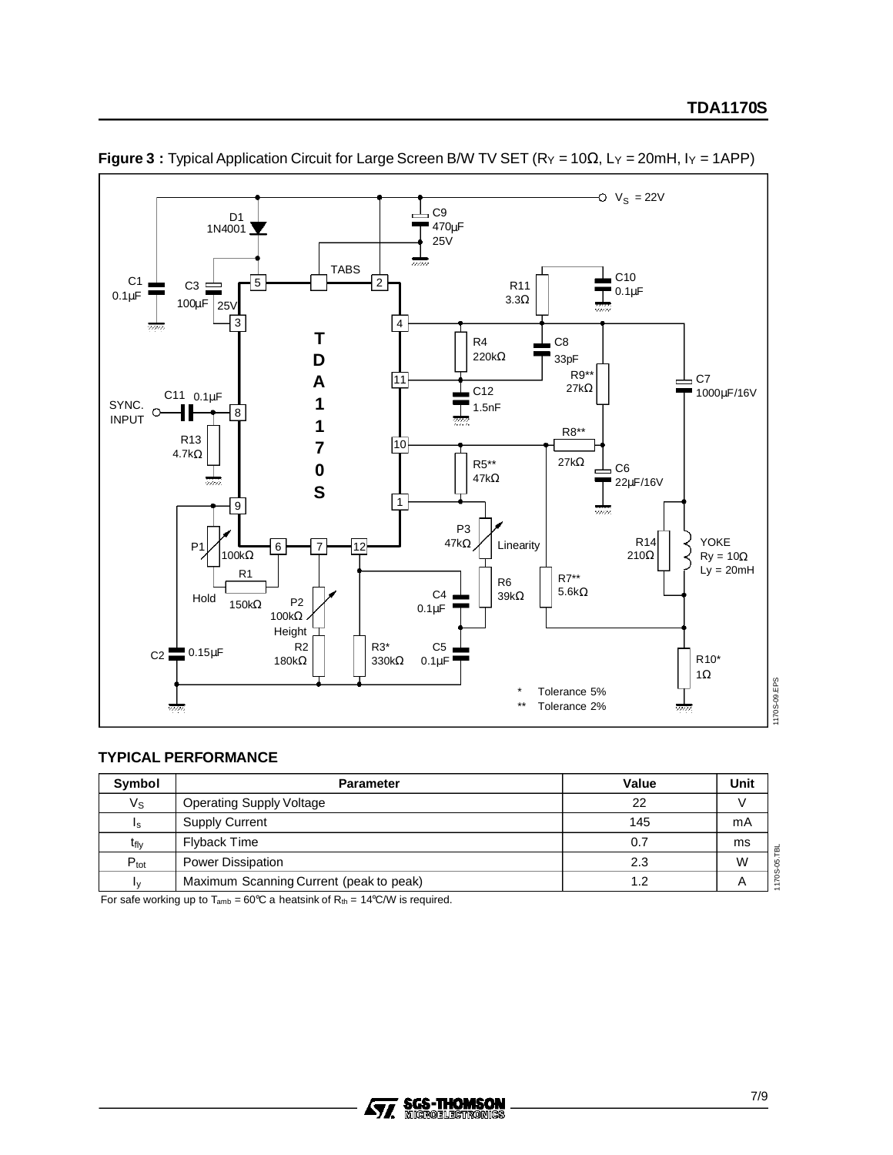

**Figure 3 :** Typical Application Circuit for Large Screen B/W TV SET (RY = 10Ω, LY = 20mH, IY = 1APP)

#### **TYPICAL PERFORMANCE**

| Symbol                 | <b>Parameter</b>                        | Value | Unit |
|------------------------|-----------------------------------------|-------|------|
| $V_{\text{S}}$         | <b>Operating Supply Voltage</b>         | 22    |      |
| I <sub>S</sub>         | <b>Supply Current</b>                   | 145   | mA   |
| t <sub>fly</sub>       | Flyback Time                            | 0.7   | ms   |
| $P_{\text{tot}}$       | <b>Power Dissipation</b>                | 2.3   | W    |
| $\mathsf{I}\mathsf{v}$ | Maximum Scanning Current (peak to peak) | 1.2   |      |

For safe working up to  $T_{amb} = 60^{\circ}$ C a heatsink of  $R_{th} = 14^{\circ}$ C/W is required.

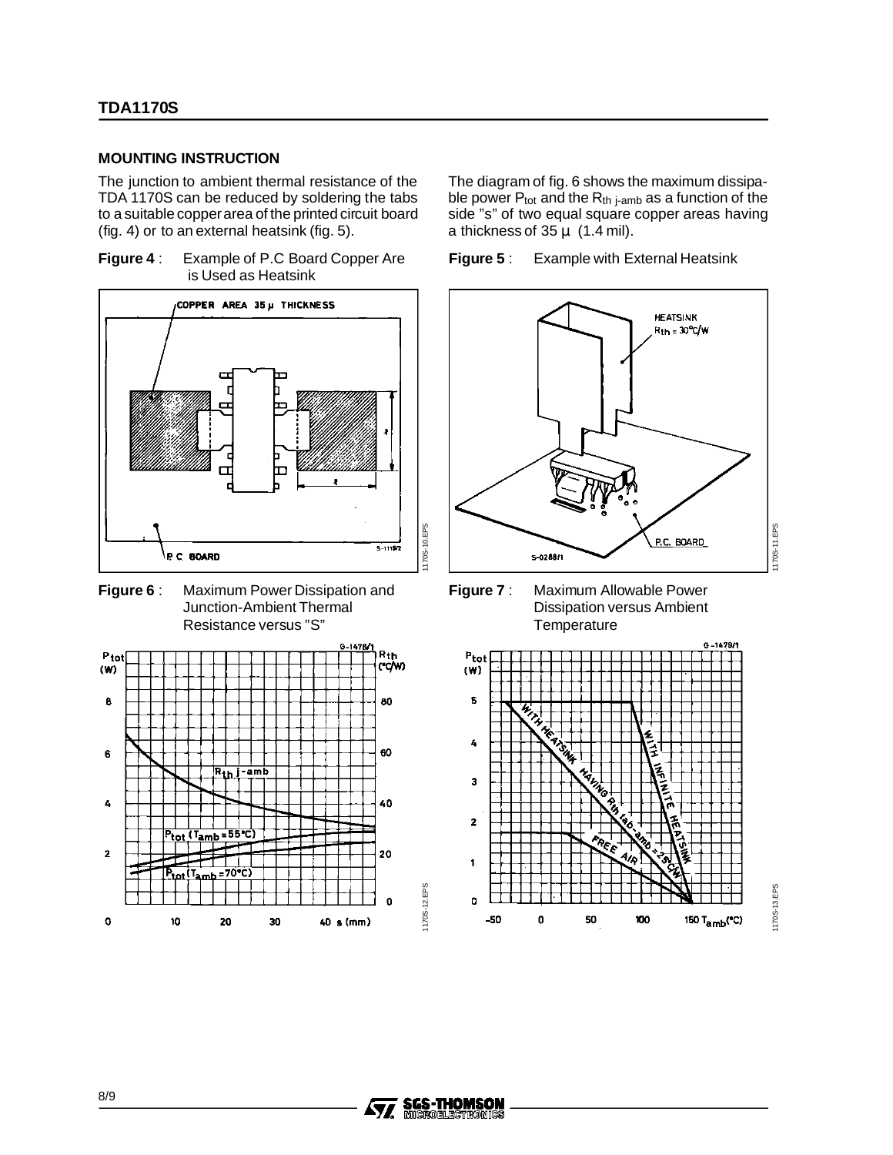#### **MOUNTING INSTRUCTION**

The junction to ambient thermal resistance of the TDA 1170S can be reduced by soldering the tabs to a suitable copperarea of the printed circuit board (fig. 4) or to an external heatsink (fig. 5).

**Figure 4** : Example of P.C Board Copper Are is Used as Heatsink







The diagram of fig. 6 shows the maximum dissipable power  $P_{tot}$  and the  $R_{th}$  j-amb as a function of the side "s" of two equal square copper areas having a thickness of  $35 \mu$  (1.4 mil).





**Figure 7** : Maximum Allowable Power Dissipation versus Ambient **Temperature** 



170S-13.EPS 1170S-13.EPS

1170S-12.EPS

170S-12.EPS